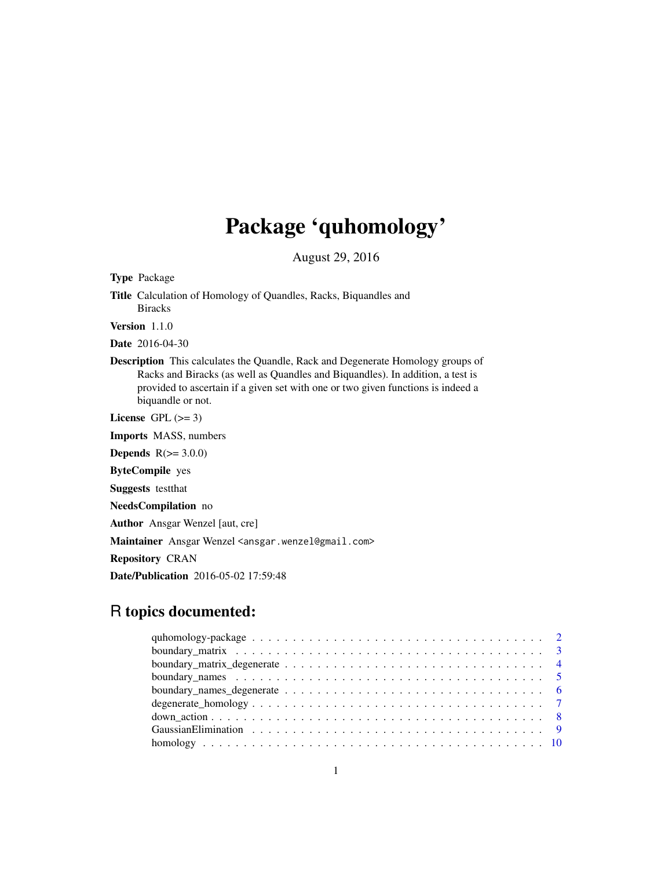## Package 'quhomology'

August 29, 2016

<span id="page-0-0"></span>Type Package Title Calculation of Homology of Quandles, Racks, Biquandles and Biracks

Version 1.1.0

Date 2016-04-30

Description This calculates the Quandle, Rack and Degenerate Homology groups of Racks and Biracks (as well as Quandles and Biquandles). In addition, a test is provided to ascertain if a given set with one or two given functions is indeed a biquandle or not.

License GPL  $(>= 3)$ 

Imports MASS, numbers

Depends  $R(>= 3.0.0)$ 

ByteCompile yes

Suggests testthat

NeedsCompilation no

Author Ansgar Wenzel [aut, cre]

Maintainer Ansgar Wenzel <ansgar.wenzel@gmail.com>

Repository CRAN

Date/Publication 2016-05-02 17:59:48

## R topics documented: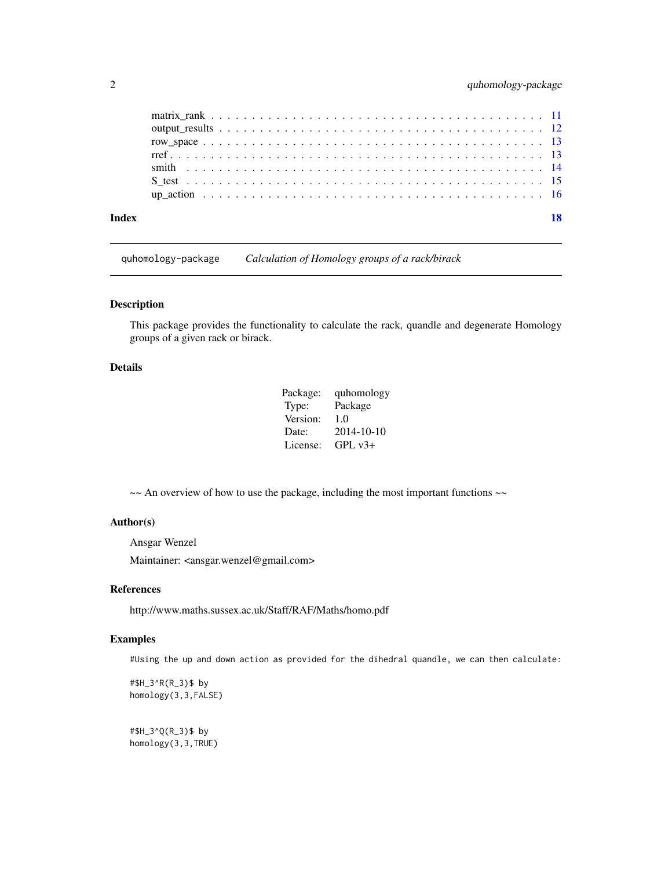<span id="page-1-0"></span>

| Index |  |
|-------|--|
|       |  |
|       |  |
|       |  |
|       |  |
|       |  |
|       |  |
|       |  |

quhomology-package *Calculation of Homology groups of a rack/birack*

#### Description

This package provides the functionality to calculate the rack, quandle and degenerate Homology groups of a given rack or birack.

## Details

| Package: | quhomology |
|----------|------------|
| Type:    | Package    |
| Version: | 1.0        |
| Date:    | 2014-10-10 |
| License: | $GPL v3+$  |

~~ An overview of how to use the package, including the most important functions ~~

## Author(s)

Ansgar Wenzel

Maintainer: <ansgar.wenzel@gmail.com>

#### References

http://www.maths.sussex.ac.uk/Staff/RAF/Maths/homo.pdf

## Examples

#Using the up and down action as provided for the dihedral quandle, we can then calculate:

#\$H\_3^R(R\_3)\$ by homology(3,3,FALSE)

#\$H\_3^Q(R\_3)\$ by homology(3,3,TRUE)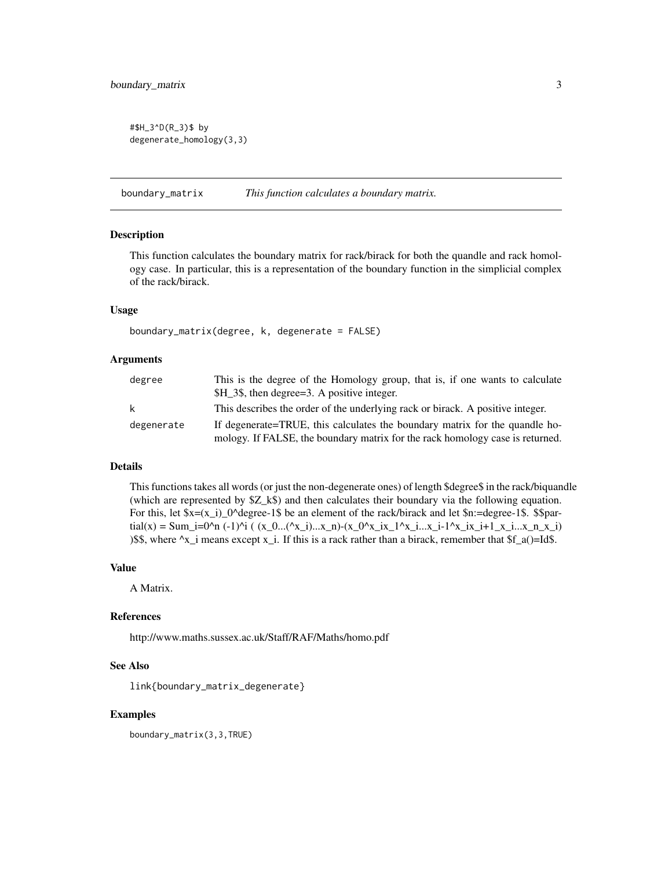<span id="page-2-0"></span>#\$H\_3^D(R\_3)\$ by degenerate\_homology(3,3)

<span id="page-2-1"></span>boundary\_matrix *This function calculates a boundary matrix.*

## Description

This function calculates the boundary matrix for rack/birack for both the quandle and rack homology case. In particular, this is a representation of the boundary function in the simplicial complex of the rack/birack.

#### Usage

boundary\_matrix(degree, k, degenerate = FALSE)

#### Arguments

| degree       | This is the degree of the Homology group, that is, if one wants to calculate<br>\$H_3\$, then degree=3. A positive integer. |
|--------------|-----------------------------------------------------------------------------------------------------------------------------|
| $\mathsf{k}$ | This describes the order of the underlying rack or birack. A positive integer.                                              |
| degenerate   | If degenerate=TRUE, this calculates the boundary matrix for the quandle ho-                                                 |
|              | mology. If FALSE, the boundary matrix for the rack homology case is returned.                                               |

#### Details

This functions takes all words (or just the non-degenerate ones) of length \$degree\$ in the rack/biquandle (which are represented by \$Z\_k\$) and then calculates their boundary via the following equation. For this, let  $x=(x_i)$   $0^{\text{degree-1}}$  be an element of the rack/birack and let  $\text{sn}$ :=degree-1\$.  $\text{span}$  $\text{trial}(x) = \text{Sum\_i} = 0 \cdot n (-1) \cdot i$  (  $(x_0...({x_i})...x_n)$  -  $(x_0^0 \cdot x_i x_i - 1 \cdot x_i...x_i - 1 \cdot x_i x_i + 1_x...x_n x_i)$ )\$\$, where  $^x$ x\_i means except x\_i. If this is a rack rather than a birack, remember that \$f\_a()=Id\$.

#### Value

A Matrix.

#### References

http://www.maths.sussex.ac.uk/Staff/RAF/Maths/homo.pdf

#### See Also

link{boundary\_matrix\_degenerate}

#### Examples

boundary\_matrix(3,3,TRUE)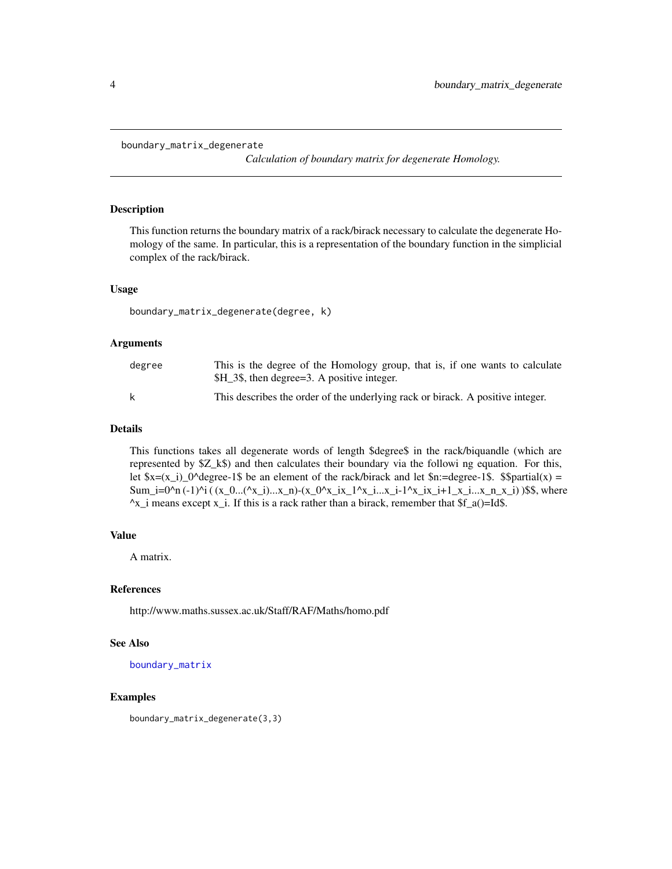```
boundary_matrix_degenerate
```
*Calculation of boundary matrix for degenerate Homology.*

#### Description

This function returns the boundary matrix of a rack/birack necessary to calculate the degenerate Homology of the same. In particular, this is a representation of the boundary function in the simplicial complex of the rack/birack.

## Usage

boundary\_matrix\_degenerate(degree, k)

## Arguments

| degree | This is the degree of the Homology group, that is, if one wants to calculate   |
|--------|--------------------------------------------------------------------------------|
|        | \$H_3\$, then degree=3. A positive integer.                                    |
|        | This describes the order of the underlying rack or birack. A positive integer. |

## Details

This functions takes all degenerate words of length \$degree\$ in the rack/biquandle (which are represented by \$Z\_k\$) and then calculates their boundary via the followi ng equation. For this, let  $x=(x_i)-0^{\circ}$ degree-1\$ be an element of the rack/birack and let  $n:=$ degree-1\$. \$\$partial(x) = Sum\_i=0^n (-1)^i ( (x\_0...(^x\_i)...x\_n)-(x\_0^x\_ix\_1^x\_i...x\_i-1^x\_ix\_i+1\_x\_i...x\_n\_x\_i) )\$\$, where  $\alpha$ <sub>x</sub> i means except x<sub>i</sub>. If this is a rack rather than a birack, remember that  $f_a$ ()=Id\$.

#### Value

A matrix.

#### References

http://www.maths.sussex.ac.uk/Staff/RAF/Maths/homo.pdf

## See Also

[boundary\\_matrix](#page-2-1)

#### Examples

boundary\_matrix\_degenerate(3,3)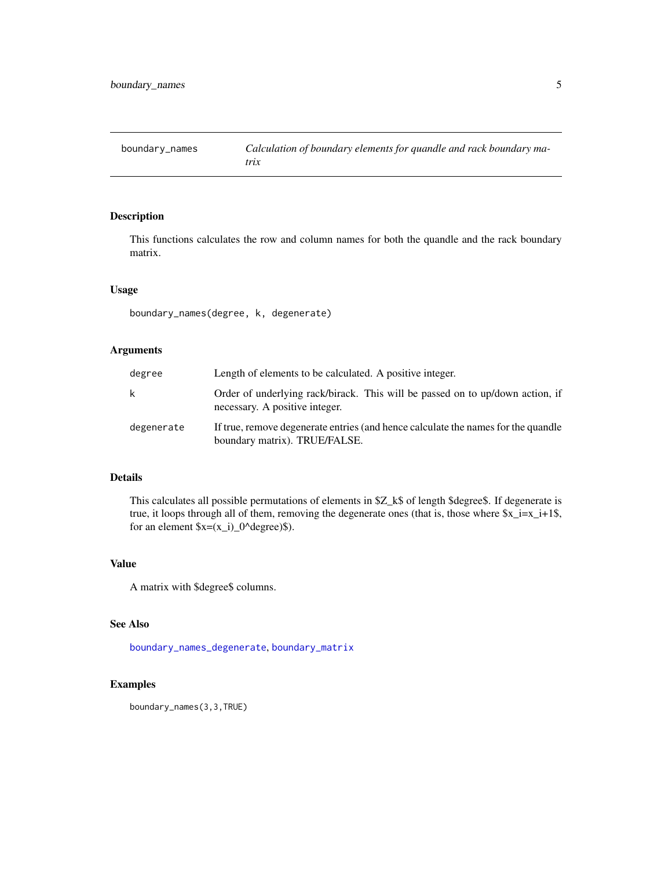<span id="page-4-1"></span><span id="page-4-0"></span>

This functions calculates the row and column names for both the quandle and the rack boundary matrix.

## Usage

boundary\_names(degree, k, degenerate)

## Arguments

| degree     | Length of elements to be calculated. A positive integer.                                                           |
|------------|--------------------------------------------------------------------------------------------------------------------|
| k          | Order of underlying rack/birack. This will be passed on to up/down action, if<br>necessary. A positive integer.    |
| degenerate | If true, remove degenerate entries (and hence calculate the names for the quandle<br>boundary matrix). TRUE/FALSE. |

## Details

This calculates all possible permutations of elements in \$Z\_k\$ of length \$degree\$. If degenerate is true, it loops through all of them, removing the degenerate ones (that is, those where  $x_i = x_i + 1$ , for an element  $x=(x_i)$  0^degree)\$).

## Value

A matrix with \$degree\$ columns.

#### See Also

[boundary\\_names\\_degenerate](#page-5-1), [boundary\\_matrix](#page-2-1)

## Examples

boundary\_names(3,3,TRUE)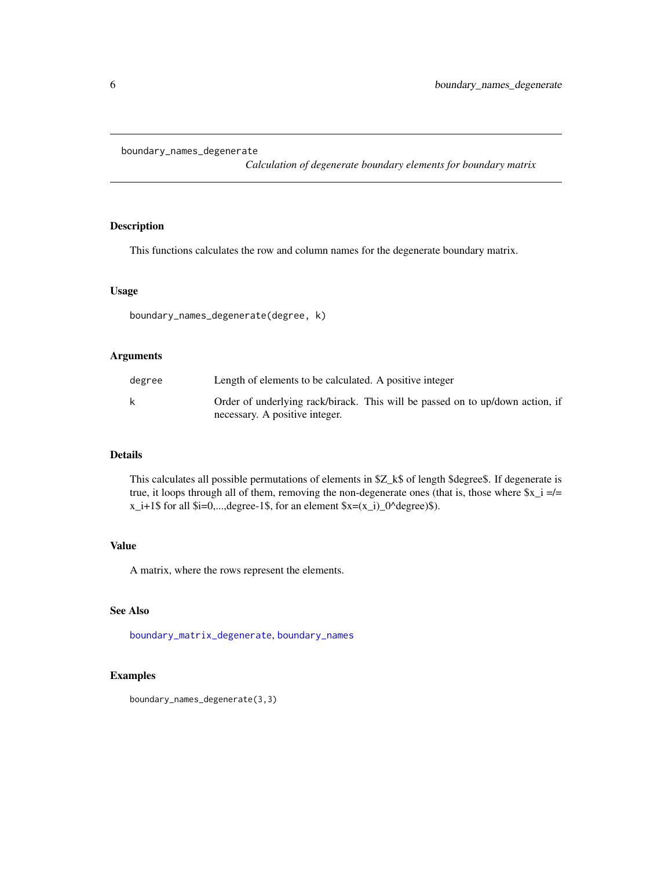<span id="page-5-1"></span><span id="page-5-0"></span>boundary\_names\_degenerate

*Calculation of degenerate boundary elements for boundary matrix*

## Description

This functions calculates the row and column names for the degenerate boundary matrix.

#### Usage

boundary\_names\_degenerate(degree, k)

## Arguments

| degree | Length of elements to be calculated. A positive integer                                                         |
|--------|-----------------------------------------------------------------------------------------------------------------|
| k      | Order of underlying rack/birack. This will be passed on to up/down action, if<br>necessary. A positive integer. |

#### Details

This calculates all possible permutations of elements in \$Z\_k\$ of length \$degree\$. If degenerate is true, it loops through all of them, removing the non-degenerate ones (that is, those where  $x_i =/=$  $x_i+1\$  for all  $i=0,...,degree-1\$ , for an element  $x=(x_i)-0$ ^degree)\$).

### Value

A matrix, where the rows represent the elements.

## See Also

[boundary\\_matrix\\_degenerate](#page-3-1), [boundary\\_names](#page-4-1)

## Examples

boundary\_names\_degenerate(3,3)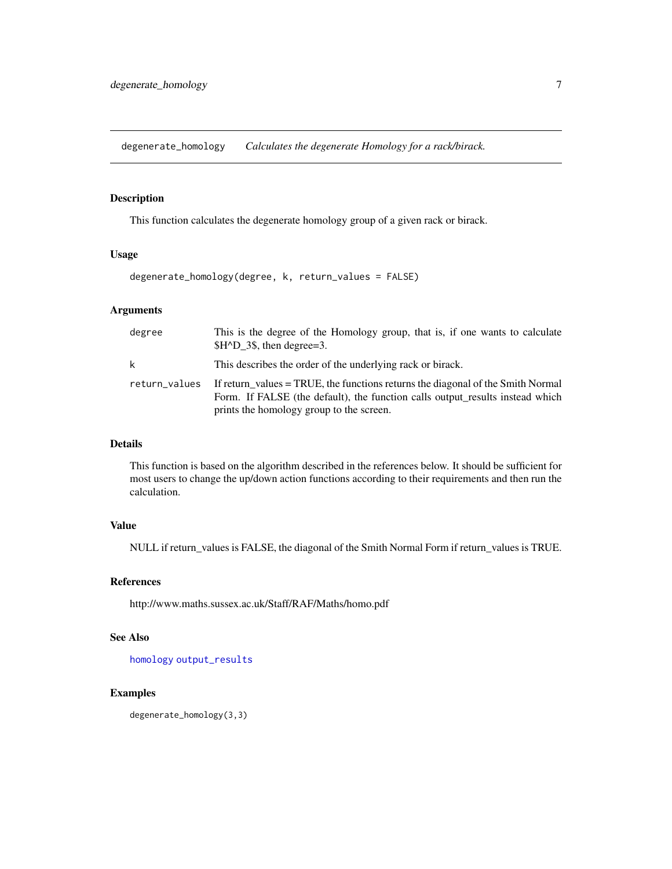<span id="page-6-1"></span><span id="page-6-0"></span>degenerate\_homology *Calculates the degenerate Homology for a rack/birack.*

## Description

This function calculates the degenerate homology group of a given rack or birack.

## Usage

```
degenerate_homology(degree, k, return_values = FALSE)
```
## Arguments

| degree        | This is the degree of the Homology group, that is, if one wants to calculate<br>$$H^{\wedge}D$ 3\$, then degree=3.                                                                                           |
|---------------|--------------------------------------------------------------------------------------------------------------------------------------------------------------------------------------------------------------|
| k             | This describes the order of the underlying rack or birack.                                                                                                                                                   |
| return_values | If return values = TRUE, the functions returns the diagonal of the Smith Normal<br>Form. If FALSE (the default), the function calls output results instead which<br>prints the homology group to the screen. |

## Details

This function is based on the algorithm described in the references below. It should be sufficient for most users to change the up/down action functions according to their requirements and then run the calculation.

## Value

NULL if return\_values is FALSE, the diagonal of the Smith Normal Form if return\_values is TRUE.

#### References

http://www.maths.sussex.ac.uk/Staff/RAF/Maths/homo.pdf

#### See Also

[homology](#page-9-1) [output\\_results](#page-11-1)

## Examples

degenerate\_homology(3,3)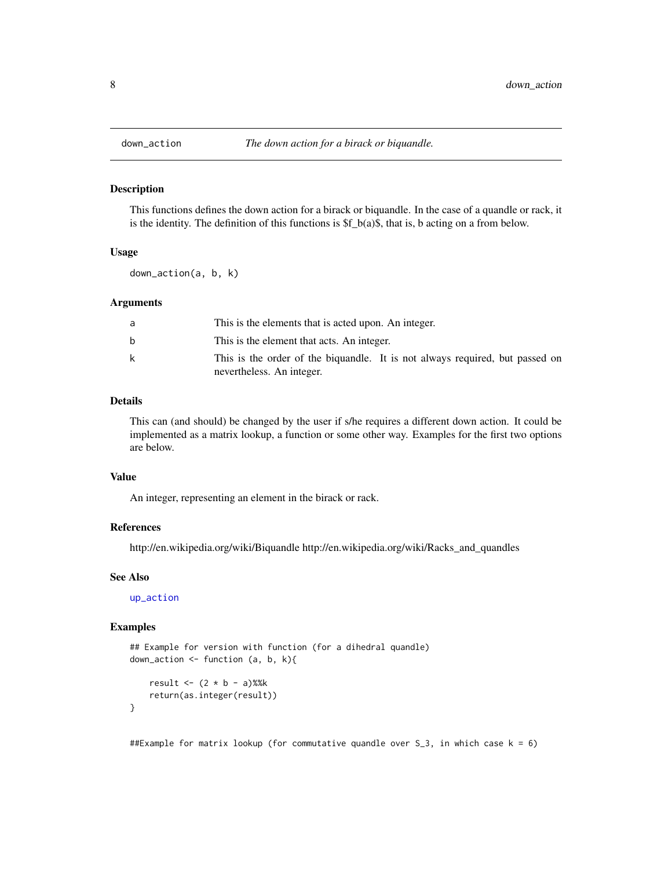<span id="page-7-1"></span><span id="page-7-0"></span>

This functions defines the down action for a birack or biquandle. In the case of a quandle or rack, it is the identity. The definition of this functions is  $f_b(a)\$ , that is, b acting on a from below.

## Usage

down\_action(a, b, k)

#### Arguments

| a  | This is the elements that is acted upon. An integer.                                                      |
|----|-----------------------------------------------------------------------------------------------------------|
| b. | This is the element that acts. An integer.                                                                |
| k  | This is the order of the biguandle. It is not always required, but passed on<br>nevertheless. An integer. |

## Details

This can (and should) be changed by the user if s/he requires a different down action. It could be implemented as a matrix lookup, a function or some other way. Examples for the first two options are below.

#### Value

An integer, representing an element in the birack or rack.

#### References

http://en.wikipedia.org/wiki/Biquandle http://en.wikipedia.org/wiki/Racks\_and\_quandles

#### See Also

[up\\_action](#page-15-1)

#### Examples

}

```
## Example for version with function (for a dihedral quandle)
down_action \leq function (a, b, k){
```

```
result <- (2 * b - a)%k
return(as.integer(result))
```
##Example for matrix lookup (for commutative quandle over S\_3, in which case k = 6)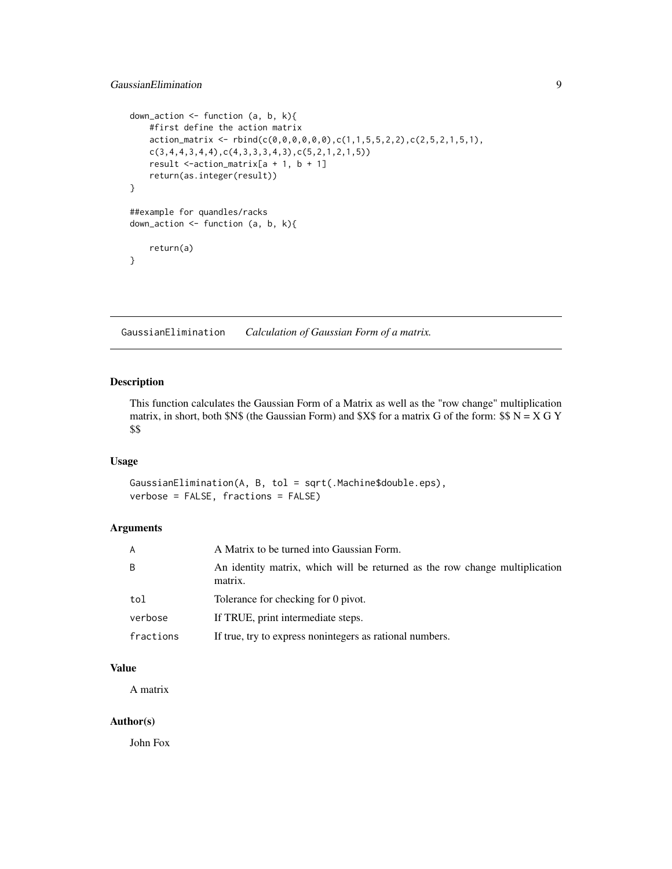### <span id="page-8-0"></span>GaussianElimination 9

```
down_action \leq function (a, b, k){
   #first define the action matrix
   action_matrix <- rbind(c(0,0,0,0,0,0),c(1,1,5,5,2,2),c(2,5,2,1,5,1),
   c(3,4,4,3,4,4),c(4,3,3,3,4,3),c(5,2,1,2,1,5))
   result \le-action_matrix[a + 1, b + 1]
   return(as.integer(result))
}
##example for quandles/racks
down_action \leq function (a, b, k){
    return(a)
}
```
<span id="page-8-1"></span>GaussianElimination *Calculation of Gaussian Form of a matrix.*

## Description

This function calculates the Gaussian Form of a Matrix as well as the "row change" multiplication matrix, in short, both \$N\$ (the Gaussian Form) and \$X\$ for a matrix G of the form:  $$N = X G Y$ \$\$

## Usage

```
GaussianElimination(A, B, tol = sqrt(.Machine$double.eps),
verbose = FALSE, fractions = FALSE)
```
## Arguments

| A         | A Matrix to be turned into Gaussian Form.                                              |
|-----------|----------------------------------------------------------------------------------------|
| B         | An identity matrix, which will be returned as the row change multiplication<br>matrix. |
| tol       | Tolerance for checking for 0 pivot.                                                    |
| verbose   | If TRUE, print intermediate steps.                                                     |
| fractions | If true, try to express nonintegers as rational numbers.                               |

### Value

A matrix

#### Author(s)

John Fox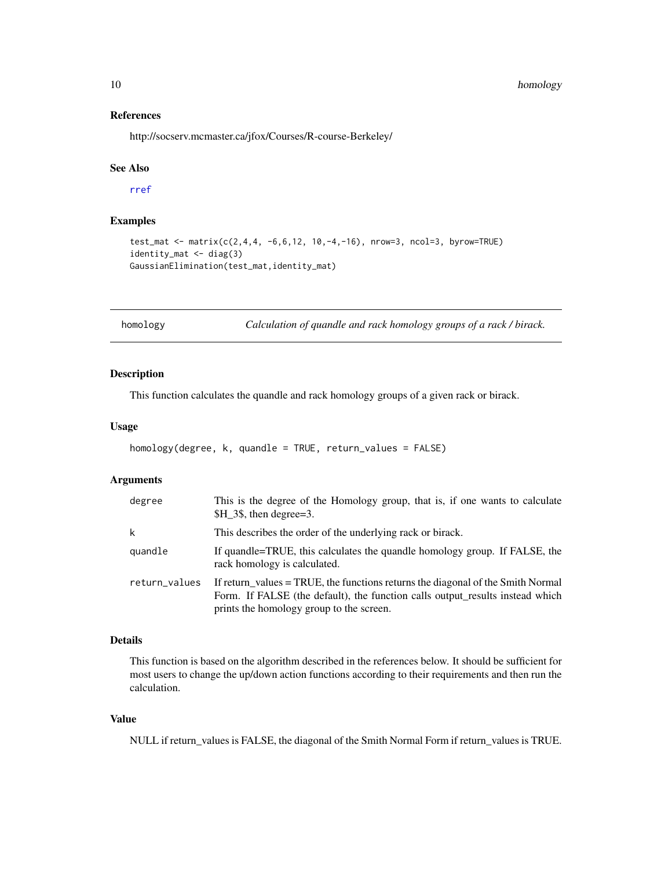## References

http://socserv.mcmaster.ca/jfox/Courses/R-course-Berkeley/

#### See Also

[rref](#page-12-1)

## Examples

```
test_mat <- matrix(c(2,4,4, -6, 6, 12, 10, -4, -16), nrow=3, ncol=3, byrow=TRUE)
identity_mat <- diag(3)
GaussianElimination(test_mat,identity_mat)
```
<span id="page-9-1"></span>homology *Calculation of quandle and rack homology groups of a rack / birack.*

## Description

This function calculates the quandle and rack homology groups of a given rack or birack.

## Usage

```
homology(degree, k, quandle = TRUE, return_values = FALSE)
```
#### Arguments

| degree        | This is the degree of the Homology group, that is, if one wants to calculate<br>\$H 3\$, then degree=3.                                                                                                      |
|---------------|--------------------------------------------------------------------------------------------------------------------------------------------------------------------------------------------------------------|
| k             | This describes the order of the underlying rack or birack.                                                                                                                                                   |
| quandle       | If quandle=TRUE, this calculates the quandle homology group. If FALSE, the<br>rack homology is calculated.                                                                                                   |
| return_values | If return_values = TRUE, the functions returns the diagonal of the Smith Normal<br>Form. If FALSE (the default), the function calls output results instead which<br>prints the homology group to the screen. |

## Details

This function is based on the algorithm described in the references below. It should be sufficient for most users to change the up/down action functions according to their requirements and then run the calculation.

## Value

NULL if return\_values is FALSE, the diagonal of the Smith Normal Form if return\_values is TRUE.

<span id="page-9-0"></span>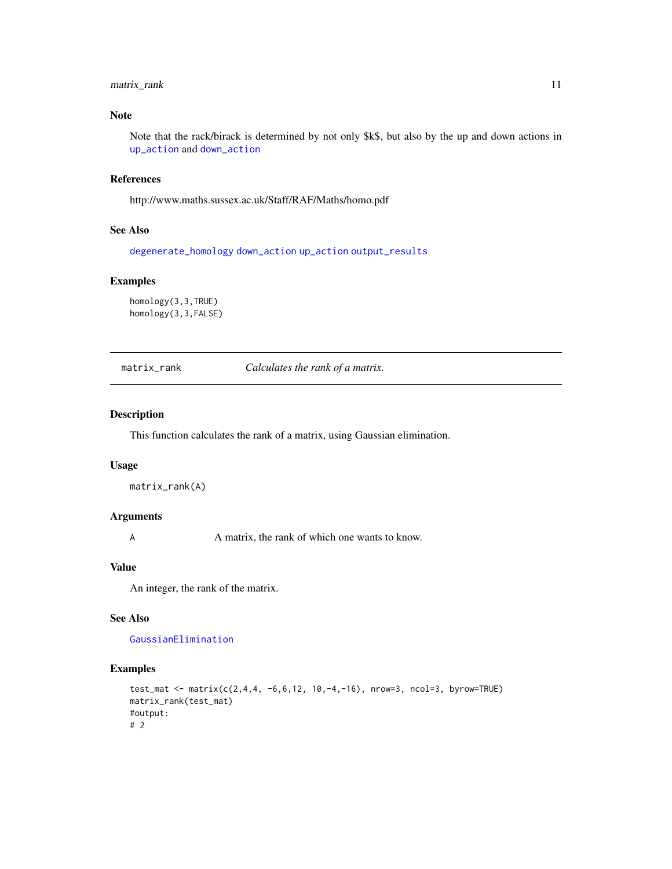## <span id="page-10-0"></span>matrix\_rank 11

## Note

Note that the rack/birack is determined by not only \$k\$, but also by the up and down actions in [up\\_action](#page-15-1) and [down\\_action](#page-7-1)

#### References

http://www.maths.sussex.ac.uk/Staff/RAF/Maths/homo.pdf

## See Also

[degenerate\\_homology](#page-6-1) [down\\_action](#page-7-1) [up\\_action](#page-15-1) [output\\_results](#page-11-1)

#### Examples

homology(3,3,TRUE) homology(3,3,FALSE)

matrix\_rank *Calculates the rank of a matrix.*

#### Description

This function calculates the rank of a matrix, using Gaussian elimination.

#### Usage

```
matrix_rank(A)
```
## Arguments

A matrix, the rank of which one wants to know.

#### Value

An integer, the rank of the matrix.

#### See Also

[GaussianElimination](#page-8-1)

### Examples

```
test_mat <- matrix(c(2,4,4, -6, 6, 12, 10, -4, -16), nrow=3, ncol=3, byrow=TRUE)
matrix_rank(test_mat)
#output:
# 2
```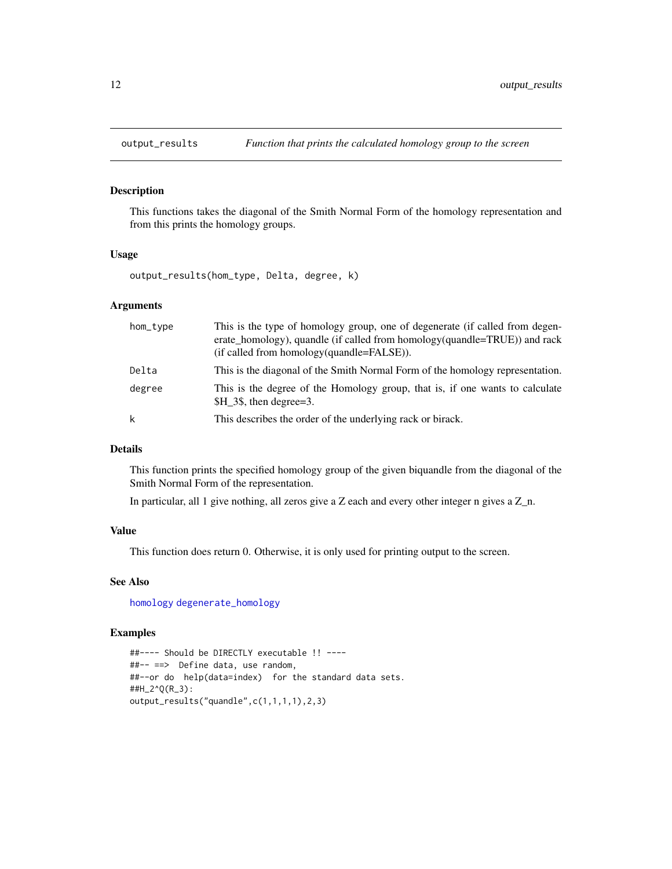<span id="page-11-1"></span><span id="page-11-0"></span>

This functions takes the diagonal of the Smith Normal Form of the homology representation and from this prints the homology groups.

#### Usage

output\_results(hom\_type, Delta, degree, k)

#### Arguments

| hom_type | This is the type of homology group, one of degenerate (if called from degen-<br>erate homology), quandle (if called from homology(quandle=TRUE)) and rack<br>(if called from homology(quandle=FALSE)). |
|----------|--------------------------------------------------------------------------------------------------------------------------------------------------------------------------------------------------------|
| Delta    | This is the diagonal of the Smith Normal Form of the homology representation.                                                                                                                          |
| degree   | This is the degree of the Homology group, that is, if one wants to calculate<br>\$H 3\$, then degree=3.                                                                                                |
| k        | This describes the order of the underlying rack or birack.                                                                                                                                             |

#### Details

This function prints the specified homology group of the given biquandle from the diagonal of the Smith Normal Form of the representation.

In particular, all 1 give nothing, all zeros give a Z each and every other integer n gives a Z\_n.

#### Value

This function does return 0. Otherwise, it is only used for printing output to the screen.

#### See Also

[homology](#page-9-1) [degenerate\\_homology](#page-6-1)

## Examples

```
##---- Should be DIRECTLY executable !! ----
##-- ==> Define data, use random,
##--or do help(data=index) for the standard data sets.
##H_2^Q(R_3):
output_results("quandle",c(1,1,1,1),2,3)
```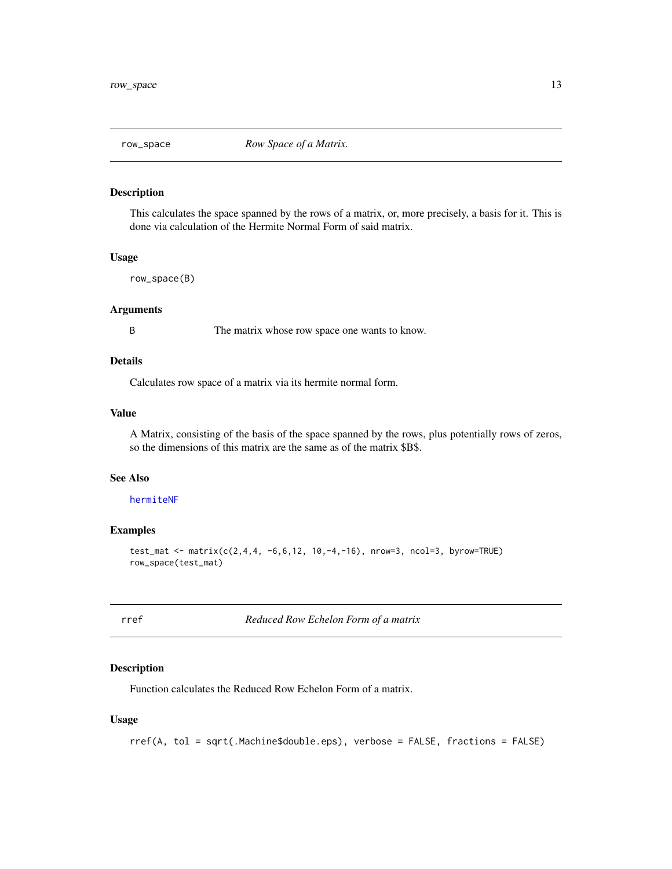<span id="page-12-0"></span>

This calculates the space spanned by the rows of a matrix, or, more precisely, a basis for it. This is done via calculation of the Hermite Normal Form of said matrix.

#### Usage

row\_space(B)

#### Arguments

B The matrix whose row space one wants to know.

#### Details

Calculates row space of a matrix via its hermite normal form.

#### Value

A Matrix, consisting of the basis of the space spanned by the rows, plus potentially rows of zeros, so the dimensions of this matrix are the same as of the matrix \$B\$.

#### See Also

[hermiteNF](#page-0-0)

## Examples

```
test_mat <- matrix(c(2,4,4, -6,6,12, 10,-4,-16), nrow=3, ncol=3, byrow=TRUE)
row_space(test_mat)
```
<span id="page-12-1"></span>rref *Reduced Row Echelon Form of a matrix*

### Description

Function calculates the Reduced Row Echelon Form of a matrix.

## Usage

```
rref(A, tol = sqrt(.Machine$double.eps), verbose = FALSE, fractions = FALSE)
```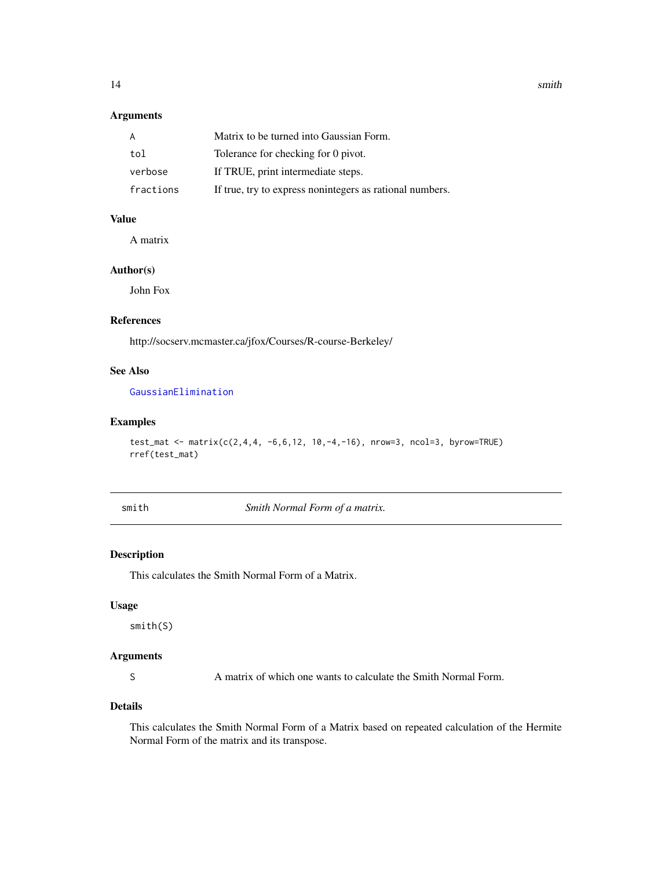## <span id="page-13-0"></span>Arguments

| A         | Matrix to be turned into Gaussian Form.                  |
|-----------|----------------------------------------------------------|
| tol       | Tolerance for checking for 0 pivot.                      |
| verbose   | If TRUE, print intermediate steps.                       |
| fractions | If true, try to express nonintegers as rational numbers. |

## Value

A matrix

#### Author(s)

John Fox

## References

http://socserv.mcmaster.ca/jfox/Courses/R-course-Berkeley/

## See Also

[GaussianElimination](#page-8-1)

## Examples

```
test_mat <- matrix(c(2,4,4, -6, 6, 12, 10, -4, -16), nrow=3, ncol=3, byrow=TRUE)
rref(test_mat)
```
smith *Smith Normal Form of a matrix.*

## Description

This calculates the Smith Normal Form of a Matrix.

#### Usage

smith(S)

## Arguments

S A matrix of which one wants to calculate the Smith Normal Form.

#### Details

This calculates the Smith Normal Form of a Matrix based on repeated calculation of the Hermite Normal Form of the matrix and its transpose.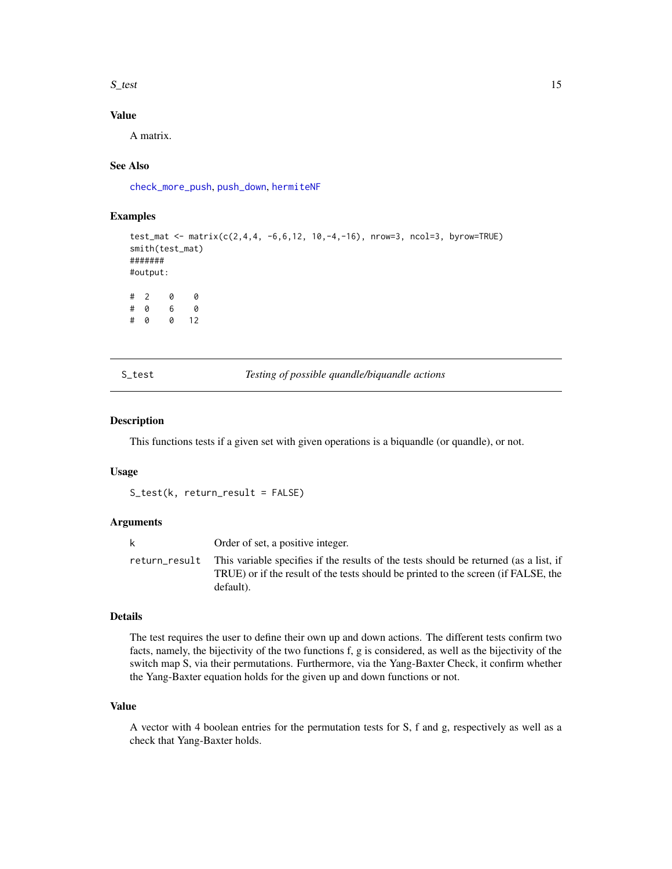<span id="page-14-0"></span> $S_{\text{test}}$  15

## Value

A matrix.

## See Also

[check\\_more\\_push](#page-0-0), [push\\_down](#page-0-0), [hermiteNF](#page-0-0)

## Examples

```
test_mat <- matrix(c(2,4,4, -6,6,12, 10,-4,-16), nrow=3, ncol=3, byrow=TRUE)
smith(test_mat)
#######
#output:
# 2 0 0
# 0 6 0
# 0 0 12
```
## S\_test *Testing of possible quandle/biquandle actions*

#### Description

This functions tests if a given set with given operations is a biquandle (or quandle), or not.

## Usage

S\_test(k, return\_result = FALSE)

#### Arguments

| Order of set, a positive integer.                                                                                                                                                                      |
|--------------------------------------------------------------------------------------------------------------------------------------------------------------------------------------------------------|
| return_result This variable specifies if the results of the tests should be returned (as a list, if<br>TRUE) or if the result of the tests should be printed to the screen (if FALSE, the<br>default). |

#### Details

The test requires the user to define their own up and down actions. The different tests confirm two facts, namely, the bijectivity of the two functions f, g is considered, as well as the bijectivity of the switch map S, via their permutations. Furthermore, via the Yang-Baxter Check, it confirm whether the Yang-Baxter equation holds for the given up and down functions or not.

## Value

A vector with 4 boolean entries for the permutation tests for S, f and g, respectively as well as a check that Yang-Baxter holds.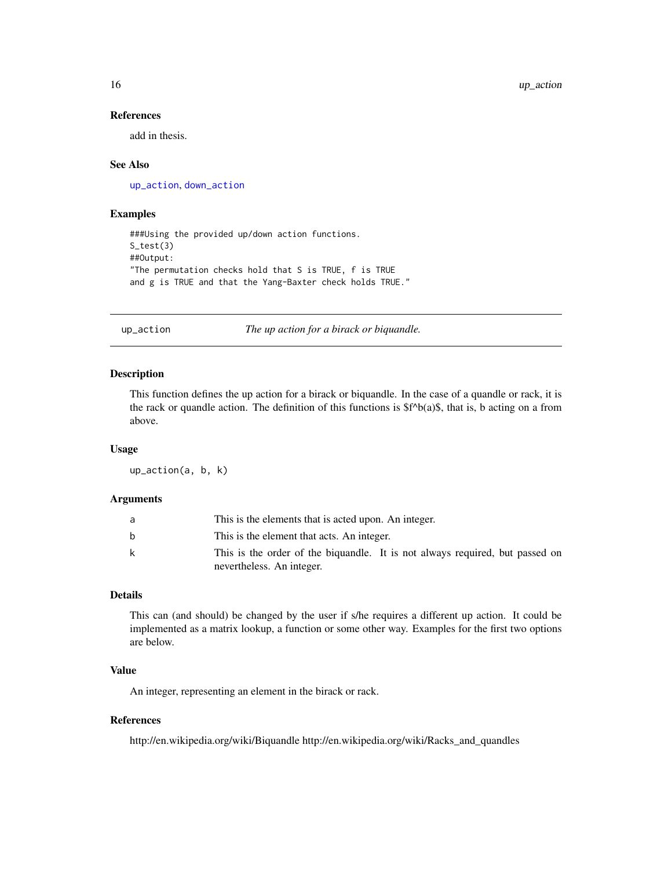#### References

add in thesis.

#### See Also

[up\\_action](#page-15-1), [down\\_action](#page-7-1)

#### Examples

```
###Using the provided up/down action functions.
S_test(3)
##Output:
"The permutation checks hold that S is TRUE, f is TRUE
and g is TRUE and that the Yang-Baxter check holds TRUE."
```
<span id="page-15-1"></span>up\_action *The up action for a birack or biquandle.*

## Description

This function defines the up action for a birack or biquandle. In the case of a quandle or rack, it is the rack or quandle action. The definition of this functions is  $f^A(b(a)\$ , that is, b acting on a from above.

#### Usage

up\_action(a, b, k)

#### **Arguments**

| a  | This is the elements that is acted upon. An integer.                         |
|----|------------------------------------------------------------------------------|
| b. | This is the element that acts. An integer.                                   |
| k  | This is the order of the biquandle. It is not always required, but passed on |
|    | nevertheless. An integer.                                                    |

#### Details

This can (and should) be changed by the user if s/he requires a different up action. It could be implemented as a matrix lookup, a function or some other way. Examples for the first two options are below.

## Value

An integer, representing an element in the birack or rack.

#### References

http://en.wikipedia.org/wiki/Biquandle http://en.wikipedia.org/wiki/Racks\_and\_quandles

<span id="page-15-0"></span>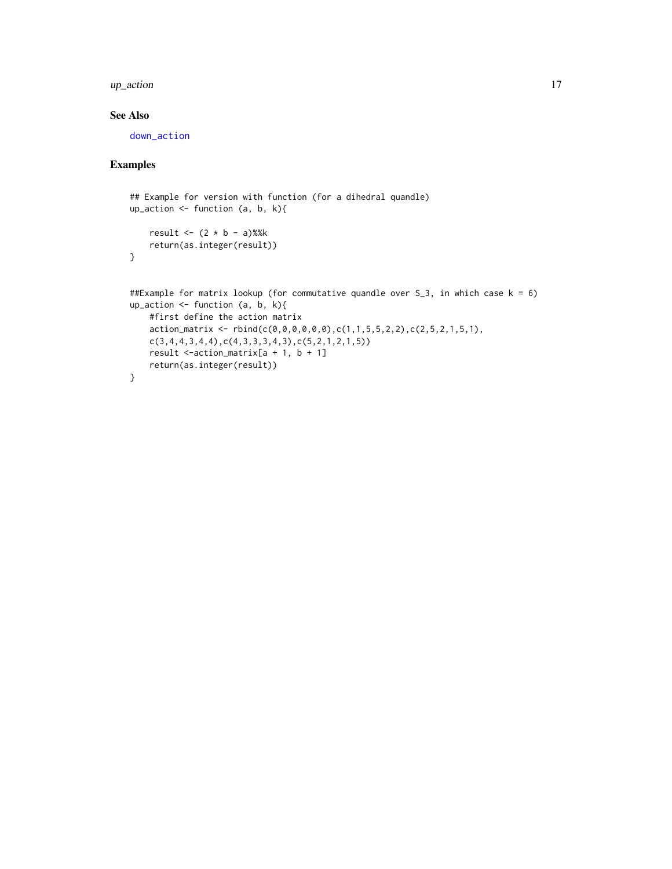#### <span id="page-16-0"></span>up\_action 17

## See Also

[down\\_action](#page-7-1)

## Examples

```
## Example for version with function (for a dihedral quandle)
up_action <- function (a, b, k){
   result \leftarrow (2 \star b - a)%%k
   return(as.integer(result))
}
##Example for matrix lookup (for commutative quandle over S_3, in which case k = 6)
up_action <- function (a, b, k){
    #first define the action matrix
   action_matrix <- rbind(c(0,0,0,0,0,0),c(1,1,5,5,2,2),c(2,5,2,1,5,1),
   c(3,4,4,3,4,4),c(4,3,3,3,4,3),c(5,2,1,2,1,5))
   result <-action_matrix[a + 1, b + 1]
   return(as.integer(result))
}
```